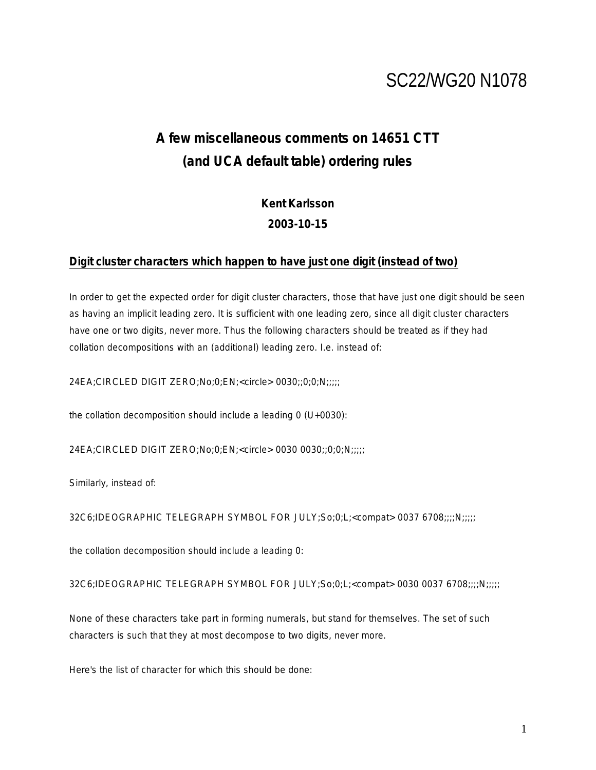# SC22/WG20 N1078

## **A few miscellaneous comments on 14651 CTT (and UCA default table) ordering rules**

**Kent Karlsson 2003-10-15**

### **Digit cluster characters which happen to have just one digit (instead of two)**

In order to get the expected order for digit cluster characters, those that have just one digit should be seen as having an implicit leading zero. It is sufficient with one leading zero, since all digit cluster characters have one or two digits, never more. Thus the following characters should be treated as if they had *collation* decompositions with an (additional) leading zero. I.e. instead of:

24EA;CIRCLED DIGIT ZERO;No;0;EN;<circle> 0030;;0;0;N;;;;;

the *collation* decomposition should include a leading 0 (U+0030):

24EA;CIRCLED DIGIT ZERO;No;0;EN;<circle> 0030 0030;;0;0;N;;;;;

Similarly, instead of:

32C6;IDEOGRAPHIC TELEGRAPH SYMBOL FOR JULY;So;0;L;<compat> 0037 6708;;;;N;;;;;

the *collation* decomposition should include a leading 0:

32C6;IDEOGRAPHIC TELEGRAPH SYMBOL FOR JULY;So;0;L;<compat> 0030 0037 6708;;;;N;;;;;

None of these characters take part in forming numerals, but stand for themselves. The set of such characters is such that they at most decompose to two digits, never more.

Here's the list of character for which this should be done: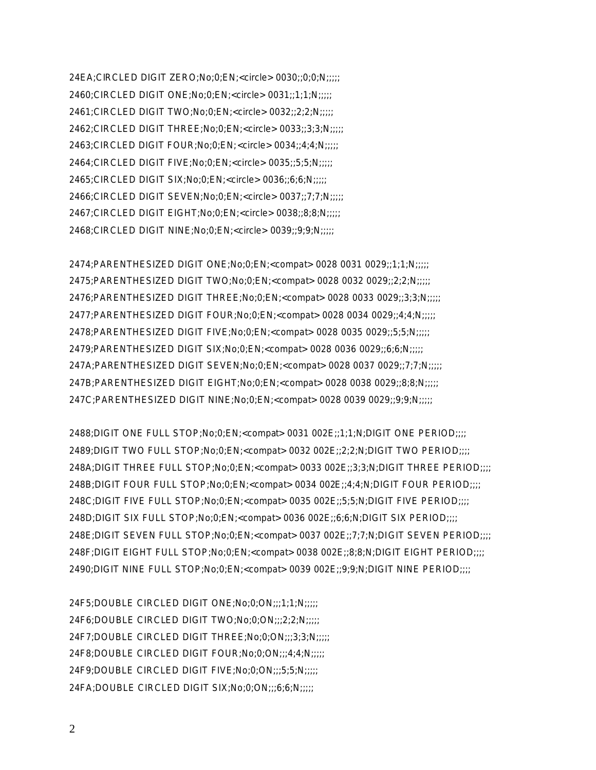24EA;CIRCLED DIGIT ZERO;No;0;EN;<circle> 0030;;0;0;N;;;;; 2460;CIRCLED DIGIT ONE;No;0;EN;<circle> 0031;;1;1;N;;;;; 2461;CIRCLED DIGIT TWO;No;0;EN;<circle> 0032;;2;2;N;;;;; 2462;CIRCLED DIGIT THREE;No;0;EN;<circle> 0033;;3;3;N;;;;; 2463;CIRCLED DIGIT FOUR;No;0;EN;<circle> 0034;;4;4;N;;;;; 2464;CIRCLED DIGIT FIVE;No;0;EN;<circle> 0035;;5;5;N;;;;; 2465;CIRCLED DIGIT SIX;No;0;EN;<circle> 0036;;6;6;N;;;;; 2466;CIRCLED DIGIT SEVEN;No;0;EN;<circle> 0037;;7;7;N;;;;; 2467;CIRCLED DIGIT EIGHT;No;0;EN;<circle> 0038;;8;8;N;;;;; 2468;CIRCLED DIGIT NINE;No;0;EN;<circle> 0039;;9;9;N;;;;;

2474;PARENTHESIZED DIGIT ONE;No;0;EN;<compat> 0028 0031 0029;;1;1;N;;;;; 2475;PARENTHESIZED DIGIT TWO;No;0;EN;<compat> 0028 0032 0029;;2;2;N;;;;; 2476;PARENTHESIZED DIGIT THREE;No;0;EN;<compat> 0028 0033 0029;;3;3;N;;;;; 2477;PARENTHESIZED DIGIT FOUR;No;0;EN;<compat> 0028 0034 0029;;4;4;N;;;;; 2478;PARENTHESIZED DIGIT FIVE;No;0;EN;<compat> 0028 0035 0029;;5;5;N;;;;; 2479;PARENTHESIZED DIGIT SIX;No;0;EN;<compat> 0028 0036 0029;;6;6;N;;;;; 247A;PARENTHESIZED DIGIT SEVEN;No;0;EN;<compat> 0028 0037 0029;;7;7;N;;;;; 247B;PARENTHESIZED DIGIT EIGHT;No;0;EN;<compat> 0028 0038 0029;;8;8;N;;;;; 247C;PARENTHESIZED DIGIT NINE;No;0;EN;<compat> 0028 0039 0029;;9;9;N;;;;;

2488;DIGIT ONE FULL STOP;No;0;EN;<compat> 0031 002E;;1;1;N;DIGIT ONE PERIOD;;;; 2489;DIGIT TWO FULL STOP;No;0;EN;<compat> 0032 002E;;2;2;N;DIGIT TWO PERIOD;;;; 248A;DIGIT THREE FULL STOP;No;0;EN;<compat> 0033 002E;;3;3;N;DIGIT THREE PERIOD;;;; 248B;DIGIT FOUR FULL STOP;No;0;EN;<compat> 0034 002E;;4;4;N;DIGIT FOUR PERIOD;;;; 248C;DIGIT FIVE FULL STOP;No;0;EN;<compat> 0035 002E;;5;5;N;DIGIT FIVE PERIOD;;;; 248D;DIGIT SIX FULL STOP;No;0;EN;<compat> 0036 002E;;6;6;N;DIGIT SIX PERIOD;;;; 248E;DIGIT SEVEN FULL STOP;No;0;EN;<compat> 0037 002E;;7;7;N;DIGIT SEVEN PERIOD;;;; 248F;DIGIT EIGHT FULL STOP;No;0;EN;<compat> 0038 002E;;8;8;N;DIGIT EIGHT PERIOD;;;; 2490;DIGIT NINE FULL STOP;No;0;EN;<compat> 0039 002E;;9;9;N;DIGIT NINE PERIOD;;;;

24F5;DOUBLE CIRCLED DIGIT ONE;No;0;ON;;;1;1;N;;;;; 24F6;DOUBLE CIRCLED DIGIT TWO;No;0;ON;;;2;2;N;;;;; 24F7;DOUBLE CIRCLED DIGIT THREE;No;0;ON;;;3;3;N;;;;; 24F8;DOUBLE CIRCLED DIGIT FOUR;No;0;ON;;;4;4;N;;;;; 24F9;DOUBLE CIRCLED DIGIT FIVE;No;0;ON;;;5;5;N;;;;; 24FA;DOUBLE CIRCLED DIGIT SIX;No;0;ON;;;6;6;N;;;;;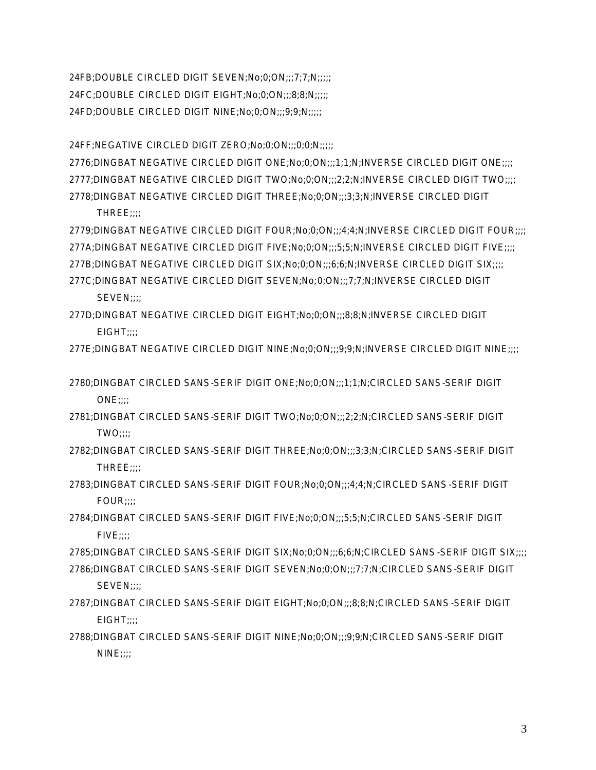24FB;DOUBLE CIRCLED DIGIT SEVEN;No;0;ON;;;7;7;N;;;;; 24FC;DOUBLE CIRCLED DIGIT EIGHT;No;0;ON;;;8;8;N;;;;; 24FD;DOUBLE CIRCLED DIGIT NINE;No;0;ON;;;9;9;N;;;;;

24FF;NEGATIVE CIRCLED DIGIT ZERO;No;0;ON;;;0;0;N;;;;;

2776;DINGBAT NEGATIVE CIRCLED DIGIT ONE;No;0;ON;;;1;1;N;INVERSE CIRCLED DIGIT ONE;;;; 2777;DINGBAT NEGATIVE CIRCLED DIGIT TWO;No;0;ON;;;2;2;N;INVERSE CIRCLED DIGIT TWO;;;; 2778;DINGBAT NEGATIVE CIRCLED DIGIT THREE;No;0;ON;;;3;3;N;INVERSE CIRCLED DIGIT

THREE;;;;

2779;DINGBAT NEGATIVE CIRCLED DIGIT FOUR;No;0;ON;;;4;4;N;INVERSE CIRCLED DIGIT FOUR;;;; 277A;DINGBAT NEGATIVE CIRCLED DIGIT FIVE;No;0;ON;;;5;5;N;INVERSE CIRCLED DIGIT FIVE;;;; 277B;DINGBAT NEGATIVE CIRCLED DIGIT SIX;No;0;ON;;;6;6;N;INVERSE CIRCLED DIGIT SIX;;;; 277C;DINGBAT NEGATIVE CIRCLED DIGIT SEVEN;No;0;ON;;;7;7;N;INVERSE CIRCLED DIGIT SEVEN::::

277D;DINGBAT NEGATIVE CIRCLED DIGIT EIGHT;No;0;ON;;;8;8;N;INVERSE CIRCLED DIGIT EIGHT;;;;

277E;DINGBAT NEGATIVE CIRCLED DIGIT NINE;No;0;ON;;;9;9;N;INVERSE CIRCLED DIGIT NINE;;;;

2780;DINGBAT CIRCLED SANS-SERIF DIGIT ONE;No;0;ON;;;1;1;N;CIRCLED SANS-SERIF DIGIT ONE;;;;

2781;DINGBAT CIRCLED SANS-SERIF DIGIT TWO;No;0;ON;;;2;2;N;CIRCLED SANS-SERIF DIGIT TWO;;;;

2782;DINGBAT CIRCLED SANS-SERIF DIGIT THREE;No;0;ON;;;3;3;N;CIRCLED SANS-SERIF DIGIT THRFF::::

2783;DINGBAT CIRCLED SANS-SERIF DIGIT FOUR;No;0;ON;;;4;4;N;CIRCLED SANS-SERIF DIGIT FOUR:::

2784;DINGBAT CIRCLED SANS-SERIF DIGIT FIVE;No;0;ON;;;5;5;N;CIRCLED SANS-SERIF DIGIT FIVE;;;;

2785;DINGBAT CIRCLED SANS-SERIF DIGIT SIX;No;0;ON;;;6;6;N;CIRCLED SANS-SERIF DIGIT SIX;;;; 2786;DINGBAT CIRCLED SANS-SERIF DIGIT SEVEN;No;0;ON;;;7;7;N;CIRCLED SANS-SERIF DIGIT SEVEN::::

2787;DINGBAT CIRCLED SANS-SERIF DIGIT EIGHT;No;0;ON;;;8;8;N;CIRCLED SANS-SERIF DIGIT EIGHT::::

2788;DINGBAT CIRCLED SANS-SERIF DIGIT NINE;No;0;ON;;;9;9;N;CIRCLED SANS-SERIF DIGIT  $NINE$ ;;;;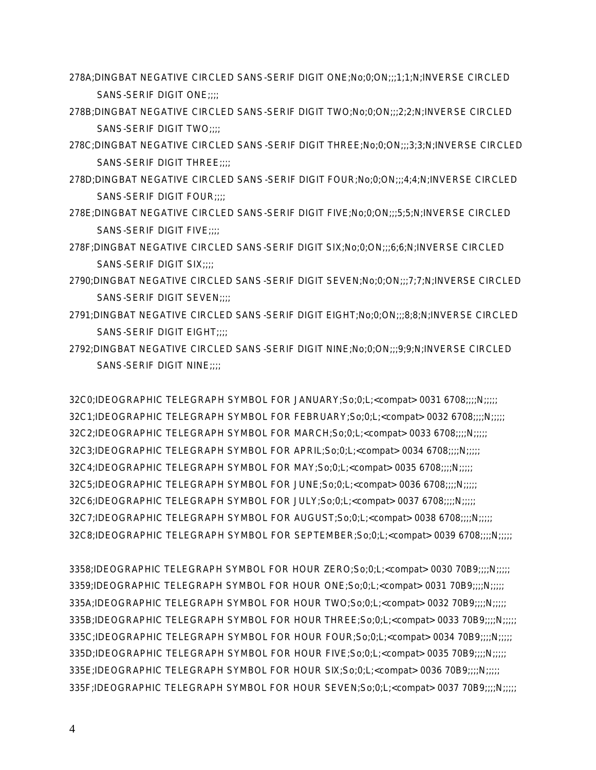- 278A;DINGBAT NEGATIVE CIRCLED SANS-SERIF DIGIT ONE;No;0;ON;;;1;1;N;INVERSE CIRCLED SANS-SERIF DIGIT ONE;;;;
- 278B;DINGBAT NEGATIVE CIRCLED SANS-SERIF DIGIT TWO;No;0;ON;;;2;2;N;INVERSE CIRCLED SANS-SERIF DIGIT TWO;;;;
- 278C;DINGBAT NEGATIVE CIRCLED SANS-SERIF DIGIT THREE;No;0;ON;;;3;3;N;INVERSE CIRCLED SANS-SERIF DIGIT THREE;;;;
- 278D;DINGBAT NEGATIVE CIRCLED SANS-SERIF DIGIT FOUR;No;0;ON;;;4;4;N;INVERSE CIRCLED SANS-SERIF DIGIT FOUR;;;;
- 278E;DINGBAT NEGATIVE CIRCLED SANS-SERIF DIGIT FIVE;No;0;ON;;;5;5;N;INVERSE CIRCLED SANS-SERIF DIGIT FIVE;;;;
- 278F;DINGBAT NEGATIVE CIRCLED SANS-SERIF DIGIT SIX;No;0;ON;;;6;6;N;INVERSE CIRCLED SANS-SERIF DIGIT SIX;;;;
- 2790;DINGBAT NEGATIVE CIRCLED SANS-SERIF DIGIT SEVEN;No;0;ON;;;7;7;N;INVERSE CIRCLED SANS-SERIF DIGIT SEVEN;;;;
- 2791;DINGBAT NEGATIVE CIRCLED SANS-SERIF DIGIT EIGHT;No;0;ON;;;8;8;N;INVERSE CIRCLED SANS-SERIF DIGIT EIGHT;;;;
- 2792;DINGBAT NEGATIVE CIRCLED SANS-SERIF DIGIT NINE;No;0;ON;;;9;9;N;INVERSE CIRCLED SANS-SERIF DIGIT NINE;;;;

32C0;IDEOGRAPHIC TELEGRAPH SYMBOL FOR JANUARY;So;0;L;<compat> 0031 6708;;;;N;;;;; 32C1;IDEOGRAPHIC TELEGRAPH SYMBOL FOR FEBRUARY;So;0;L;<compat> 0032 6708;;;;N;;;;; 32C2;IDEOGRAPHIC TELEGRAPH SYMBOL FOR MARCH;So;0;L;<compat> 0033 6708;;;;N;;;;; 32C3;IDEOGRAPHIC TELEGRAPH SYMBOL FOR APRIL;So;0;L;<compat> 0034 6708;;;;N;;;;; 32C4;IDEOGRAPHIC TELEGRAPH SYMBOL FOR MAY;So;0;L;<compat> 0035 6708;;;;N;;;;; 32C5;IDEOGRAPHIC TELEGRAPH SYMBOL FOR JUNE;So;0;L;<compat> 0036 6708;;;;N;;;;; 32C6;IDEOGRAPHIC TELEGRAPH SYMBOL FOR JULY;So;0;L;<compat> 0037 6708;;;;N;;;;; 32C7;IDEOGRAPHIC TELEGRAPH SYMBOL FOR AUGUST;So;0;L;<compat> 0038 6708;;;;N;;;;; 32C8;IDEOGRAPHIC TELEGRAPH SYMBOL FOR SEPTEMBER;So;0;L;<compat> 0039 6708;;;;N;;;;;

3358;IDEOGRAPHIC TELEGRAPH SYMBOL FOR HOUR ZERO;So;0;L;<compat> 0030 70B9;;;;N;;;;; 3359;IDEOGRAPHIC TELEGRAPH SYMBOL FOR HOUR ONE;So;0;L;<compat> 0031 70B9;;;;N;;;;; 335A;IDEOGRAPHIC TELEGRAPH SYMBOL FOR HOUR TWO;So;0;L;<compat> 0032 70B9;;;;N;;;;; 335B;IDEOGRAPHIC TELEGRAPH SYMBOL FOR HOUR THREE;So;0;L;<compat> 0033 70B9;;;;N;;;;; 335C;IDEOGRAPHIC TELEGRAPH SYMBOL FOR HOUR FOUR;So;0;L;<compat> 0034 70B9;;;;N;;;;; 335D;IDEOGRAPHIC TELEGRAPH SYMBOL FOR HOUR FIVE;So;0;L;<compat> 0035 70B9;;;;N;;;;; 335E;IDEOGRAPHIC TELEGRAPH SYMBOL FOR HOUR SIX;So;0;L;<compat> 0036 70B9;;;;N;;;;; 335F;IDEOGRAPHIC TELEGRAPH SYMBOL FOR HOUR SEVEN;So;0;L;<compat> 0037 70B9;;;;N;;;;;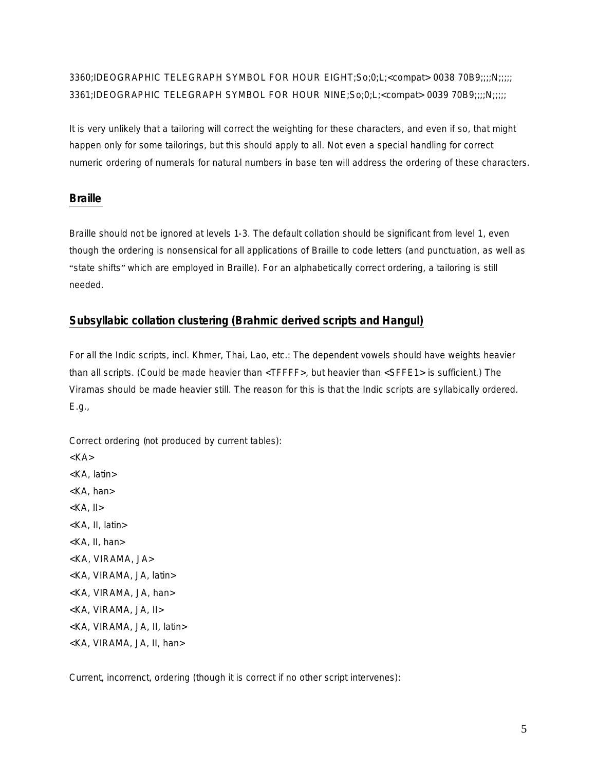3360;IDEOGRAPHIC TELEGRAPH SYMBOL FOR HOUR EIGHT;So;0;L;<compat> 0038 70B9;;;;N;;;;; 3361;IDEOGRAPHIC TELEGRAPH SYMBOL FOR HOUR NINE;So;0;L;<compat> 0039 70B9;;;;N;;;;;

It is very unlikely that a tailoring will correct the weighting for these characters, and even if so, that might happen only for some tailorings, but this should apply to all. Not even a special handling for correct numeric ordering of numerals for natural numbers in base ten will address the ordering of these characters.

### **Braille**

Braille should not be ignored at levels 1-3. The default collation should be significant from level 1, even though the ordering is nonsensical for all applications of Braille to code letters (and punctuation, as well as "state shifts" which are employed in Braille). For an alphabetically correct ordering, a tailoring is still needed.

#### **Subsyllabic collation clustering (Brahmic derived scripts and Hangul)**

For all the Indic scripts, incl. Khmer, Thai, Lao, etc.: The dependent vowels should have weights heavier than all scripts. (Could be made heavier than <TFFFF>, but heavier than <SFFE1> is sufficient.) The Viramas should be made heavier still. The reason for this is that the Indic scripts are syllabically ordered. E.g.,

Correct ordering (*not* produced by current tables):

 $<$ KA $>$ <KA, latin> <KA, han>  $<$ KA, II $>$ <KA, II, latin> <KA, II, han> <KA, VIRAMA, JA> <KA, VIRAMA, JA, latin> <KA, VIRAMA, JA, han> <KA, VIRAMA, JA, II> <KA, VIRAMA, JA, II, latin> <KA, VIRAMA, JA, II, han>

Current, incorrenct, ordering (though it is correct if no other script intervenes):